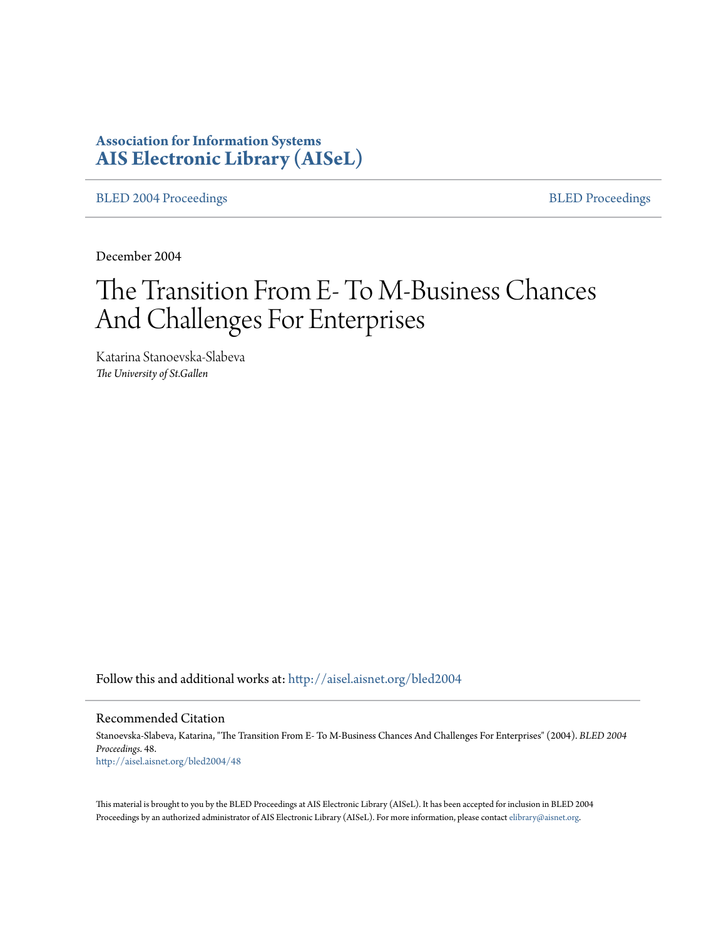# **Association for Information Systems [AIS Electronic Library \(AISeL\)](http://aisel.aisnet.org?utm_source=aisel.aisnet.org%2Fbled2004%2F48&utm_medium=PDF&utm_campaign=PDFCoverPages)**

[BLED 2004 Proceedings](http://aisel.aisnet.org/bled2004?utm_source=aisel.aisnet.org%2Fbled2004%2F48&utm_medium=PDF&utm_campaign=PDFCoverPages) **[BLED Proceedings](http://aisel.aisnet.org/bled?utm_source=aisel.aisnet.org%2Fbled2004%2F48&utm_medium=PDF&utm_campaign=PDFCoverPages)** 

December 2004

# The Transition From E- To M-Business Chances And Challenges For Enterprises

Katarina Stanoevska-Slabeva *The University of St.Gallen*

Follow this and additional works at: [http://aisel.aisnet.org/bled2004](http://aisel.aisnet.org/bled2004?utm_source=aisel.aisnet.org%2Fbled2004%2F48&utm_medium=PDF&utm_campaign=PDFCoverPages)

#### Recommended Citation

Stanoevska-Slabeva, Katarina, "The Transition From E- To M-Business Chances And Challenges For Enterprises" (2004). *BLED 2004 Proceedings*. 48. [http://aisel.aisnet.org/bled2004/48](http://aisel.aisnet.org/bled2004/48?utm_source=aisel.aisnet.org%2Fbled2004%2F48&utm_medium=PDF&utm_campaign=PDFCoverPages)

This material is brought to you by the BLED Proceedings at AIS Electronic Library (AISeL). It has been accepted for inclusion in BLED 2004 Proceedings by an authorized administrator of AIS Electronic Library (AISeL). For more information, please contact [elibrary@aisnet.org](mailto:elibrary@aisnet.org%3E).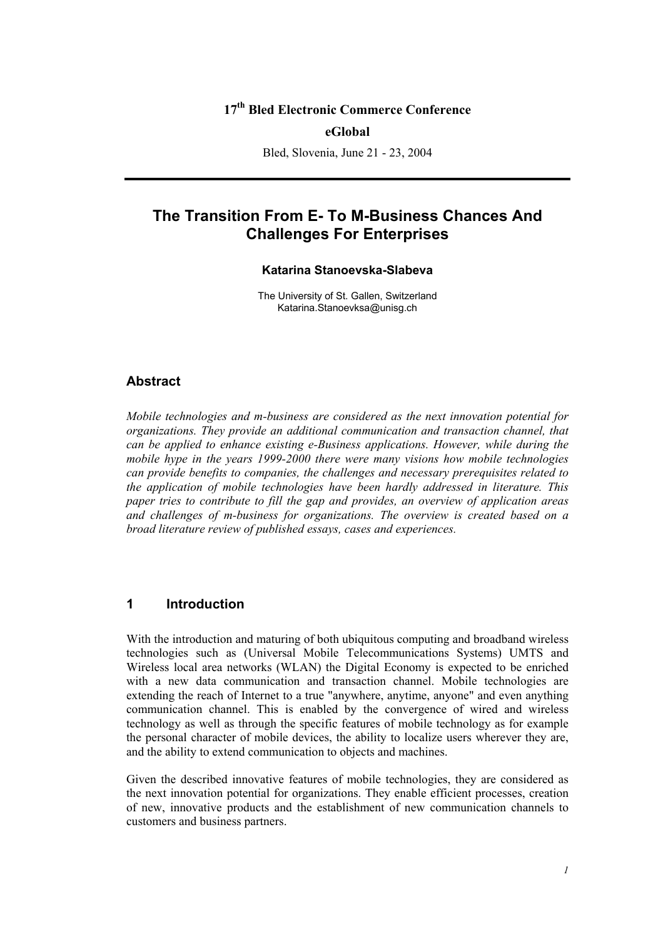## **17th Bled Electronic Commerce Conference**

#### **eGlobal**

Bled, Slovenia, June 21 - 23, 2004

## **The Transition From E- To M-Business Chances And Challenges For Enterprises**

#### **Katarina Stanoevska-Slabeva**

The University of St. Gallen, Switzerland Katarina.Stanoevksa@unisg.ch

#### **Abstract**

*Mobile technologies and m-business are considered as the next innovation potential for organizations. They provide an additional communication and transaction channel, that can be applied to enhance existing e-Business applications. However, while during the mobile hype in the years 1999-2000 there were many visions how mobile technologies can provide benefits to companies, the challenges and necessary prerequisites related to the application of mobile technologies have been hardly addressed in literature. This paper tries to contribute to fill the gap and provides, an overview of application areas and challenges of m-business for organizations. The overview is created based on a broad literature review of published essays, cases and experiences.* 

#### **1 Introduction**

With the introduction and maturing of both ubiquitous computing and broadband wireless technologies such as (Universal Mobile Telecommunications Systems) UMTS and Wireless local area networks (WLAN) the Digital Economy is expected to be enriched with a new data communication and transaction channel. Mobile technologies are extending the reach of Internet to a true "anywhere, anytime, anyone" and even anything communication channel. This is enabled by the convergence of wired and wireless technology as well as through the specific features of mobile technology as for example the personal character of mobile devices, the ability to localize users wherever they are, and the ability to extend communication to objects and machines.

Given the described innovative features of mobile technologies, they are considered as the next innovation potential for organizations. They enable efficient processes, creation of new, innovative products and the establishment of new communication channels to customers and business partners.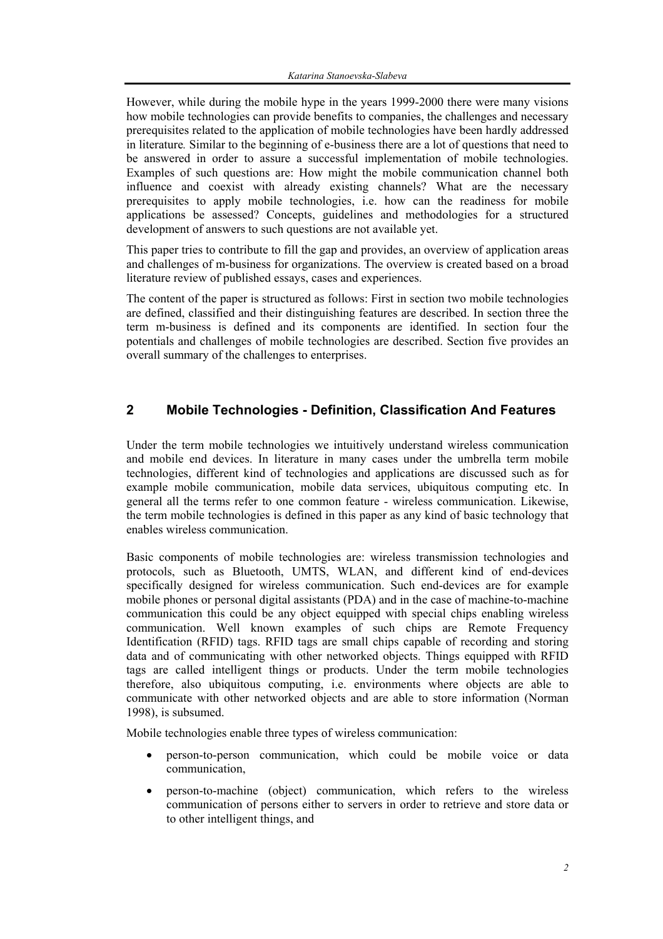However, while during the mobile hype in the years 1999-2000 there were many visions how mobile technologies can provide benefits to companies, the challenges and necessary prerequisites related to the application of mobile technologies have been hardly addressed in literature*.* Similar to the beginning of e-business there are a lot of questions that need to be answered in order to assure a successful implementation of mobile technologies. Examples of such questions are: How might the mobile communication channel both influence and coexist with already existing channels? What are the necessary prerequisites to apply mobile technologies, i.e. how can the readiness for mobile applications be assessed? Concepts, guidelines and methodologies for a structured development of answers to such questions are not available yet.

This paper tries to contribute to fill the gap and provides, an overview of application areas and challenges of m-business for organizations. The overview is created based on a broad literature review of published essays, cases and experiences.

The content of the paper is structured as follows: First in section two mobile technologies are defined, classified and their distinguishing features are described. In section three the term m-business is defined and its components are identified. In section four the potentials and challenges of mobile technologies are described. Section five provides an overall summary of the challenges to enterprises.

## **2 Mobile Technologies - Definition, Classification And Features**

Under the term mobile technologies we intuitively understand wireless communication and mobile end devices. In literature in many cases under the umbrella term mobile technologies, different kind of technologies and applications are discussed such as for example mobile communication, mobile data services, ubiquitous computing etc. In general all the terms refer to one common feature - wireless communication. Likewise, the term mobile technologies is defined in this paper as any kind of basic technology that enables wireless communication.

Basic components of mobile technologies are: wireless transmission technologies and protocols, such as Bluetooth, UMTS, WLAN, and different kind of end-devices specifically designed for wireless communication. Such end-devices are for example mobile phones or personal digital assistants (PDA) and in the case of machine-to-machine communication this could be any object equipped with special chips enabling wireless communication. Well known examples of such chips are Remote Frequency Identification (RFID) tags. RFID tags are small chips capable of recording and storing data and of communicating with other networked objects. Things equipped with RFID tags are called intelligent things or products. Under the term mobile technologies therefore, also ubiquitous computing, i.e. environments where objects are able to communicate with other networked objects and are able to store information (Norman 1998), is subsumed.

Mobile technologies enable three types of wireless communication:

- person-to-person communication, which could be mobile voice or data communication,
- person-to-machine (object) communication, which refers to the wireless communication of persons either to servers in order to retrieve and store data or to other intelligent things, and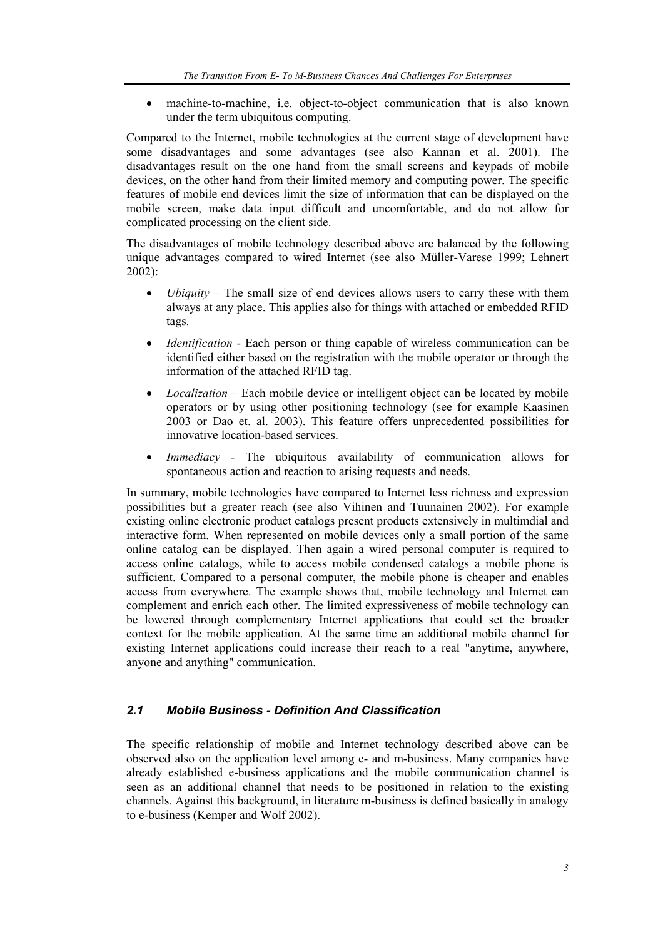• machine-to-machine, i.e. object-to-object communication that is also known under the term ubiquitous computing.

Compared to the Internet, mobile technologies at the current stage of development have some disadvantages and some advantages (see also Kannan et al. 2001). The disadvantages result on the one hand from the small screens and keypads of mobile devices, on the other hand from their limited memory and computing power. The specific features of mobile end devices limit the size of information that can be displayed on the mobile screen, make data input difficult and uncomfortable, and do not allow for complicated processing on the client side.

The disadvantages of mobile technology described above are balanced by the following unique advantages compared to wired Internet (see also Müller-Varese 1999; Lehnert 2002):

- *Ubiquity* The small size of end devices allows users to carry these with them always at any place. This applies also for things with attached or embedded RFID tags.
- *Identification* Each person or thing capable of wireless communication can be identified either based on the registration with the mobile operator or through the information of the attached RFID tag.
- *Localization* Each mobile device or intelligent object can be located by mobile operators or by using other positioning technology (see for example Kaasinen 2003 or Dao et. al. 2003). This feature offers unprecedented possibilities for innovative location-based services.
- *Immediacy* The ubiquitous availability of communication allows for spontaneous action and reaction to arising requests and needs.

In summary, mobile technologies have compared to Internet less richness and expression possibilities but a greater reach (see also Vihinen and Tuunainen 2002). For example existing online electronic product catalogs present products extensively in multimdial and interactive form. When represented on mobile devices only a small portion of the same online catalog can be displayed. Then again a wired personal computer is required to access online catalogs, while to access mobile condensed catalogs a mobile phone is sufficient. Compared to a personal computer, the mobile phone is cheaper and enables access from everywhere. The example shows that, mobile technology and Internet can complement and enrich each other. The limited expressiveness of mobile technology can be lowered through complementary Internet applications that could set the broader context for the mobile application. At the same time an additional mobile channel for existing Internet applications could increase their reach to a real "anytime, anywhere, anyone and anything" communication.

#### *2.1 Mobile Business - Definition And Classification*

The specific relationship of mobile and Internet technology described above can be observed also on the application level among e- and m-business. Many companies have already established e-business applications and the mobile communication channel is seen as an additional channel that needs to be positioned in relation to the existing channels. Against this background, in literature m-business is defined basically in analogy to e-business (Kemper and Wolf 2002).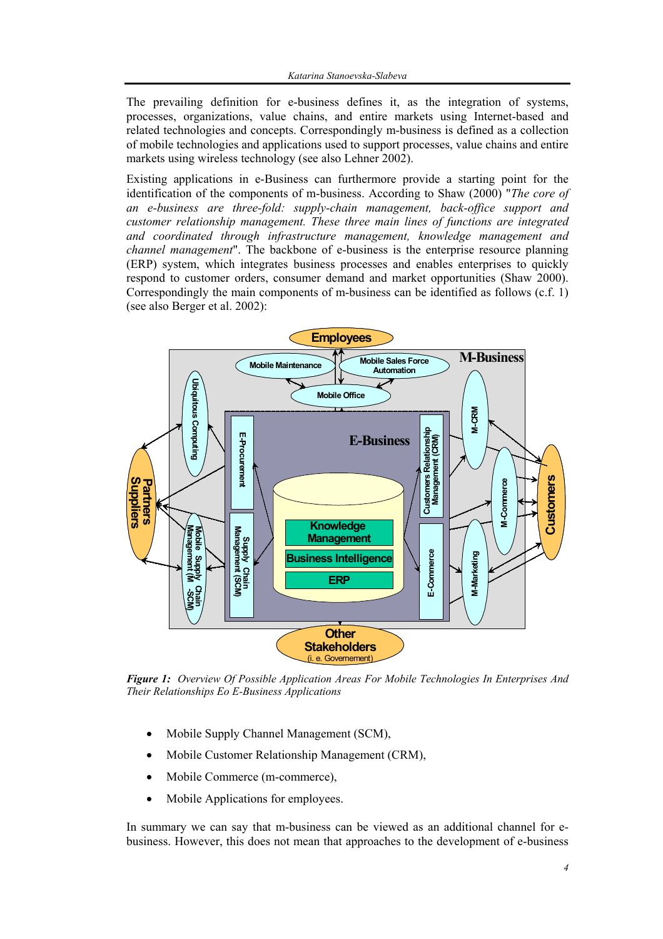The prevailing definition for e-business defines it, as the integration of systems, processes, organizations, value chains, and entire markets using Internet-based and related technologies and concepts. Correspondingly m-business is defined as a collection of mobile technologies and applications used to support processes, value chains and entire markets using wireless technology (see also Lehner 2002).

Existing applications in e-Business can furthermore provide a starting point for the identification of the components of m-business. According to Shaw (2000) "*The core of an e-business are three-fold: supply-chain management, back-office support and customer relationship management. These three main lines of functions are integrated and coordinated through infrastructure management, knowledge management and channel management*". The backbone of e-business is the enterprise resource planning (ERP) system, which integrates business processes and enables enterprises to quickly respond to customer orders, consumer demand and market opportunities (Shaw 2000). Correspondingly the main components of m-business can be identified as follows (c.f. 1) (see also Berger et al. 2002):



*Figure 1: Overview Of Possible Application Areas For Mobile Technologies In Enterprises And Their Relationships Eo E-Business Applications* 

- Mobile Supply Channel Management (SCM),
- Mobile Customer Relationship Management (CRM),
- Mobile Commerce (m-commerce),
- Mobile Applications for employees.

In summary we can say that m-business can be viewed as an additional channel for ebusiness. However, this does not mean that approaches to the development of e-business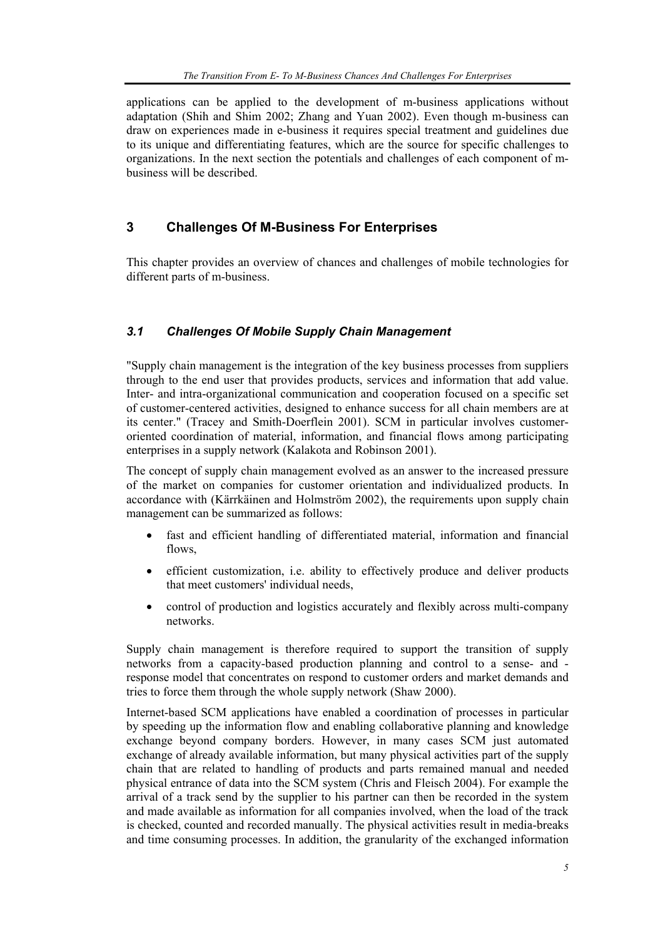applications can be applied to the development of m-business applications without adaptation (Shih and Shim 2002; Zhang and Yuan 2002). Even though m-business can draw on experiences made in e-business it requires special treatment and guidelines due to its unique and differentiating features, which are the source for specific challenges to organizations. In the next section the potentials and challenges of each component of mbusiness will be described.

## **3 Challenges Of M-Business For Enterprises**

This chapter provides an overview of chances and challenges of mobile technologies for different parts of m-business.

### *3.1 Challenges Of Mobile Supply Chain Management*

"Supply chain management is the integration of the key business processes from suppliers through to the end user that provides products, services and information that add value. Inter- and intra-organizational communication and cooperation focused on a specific set of customer-centered activities, designed to enhance success for all chain members are at its center." (Tracey and Smith-Doerflein 2001). SCM in particular involves customeroriented coordination of material, information, and financial flows among participating enterprises in a supply network (Kalakota and Robinson 2001).

The concept of supply chain management evolved as an answer to the increased pressure of the market on companies for customer orientation and individualized products. In accordance with (Kärrkäinen and Holmström 2002), the requirements upon supply chain management can be summarized as follows:

- fast and efficient handling of differentiated material, information and financial flows,
- efficient customization, i.e. ability to effectively produce and deliver products that meet customers' individual needs,
- control of production and logistics accurately and flexibly across multi-company networks.

Supply chain management is therefore required to support the transition of supply networks from a capacity-based production planning and control to a sense- and response model that concentrates on respond to customer orders and market demands and tries to force them through the whole supply network (Shaw 2000).

Internet-based SCM applications have enabled a coordination of processes in particular by speeding up the information flow and enabling collaborative planning and knowledge exchange beyond company borders. However, in many cases SCM just automated exchange of already available information, but many physical activities part of the supply chain that are related to handling of products and parts remained manual and needed physical entrance of data into the SCM system (Chris and Fleisch 2004). For example the arrival of a track send by the supplier to his partner can then be recorded in the system and made available as information for all companies involved, when the load of the track is checked, counted and recorded manually. The physical activities result in media-breaks and time consuming processes. In addition, the granularity of the exchanged information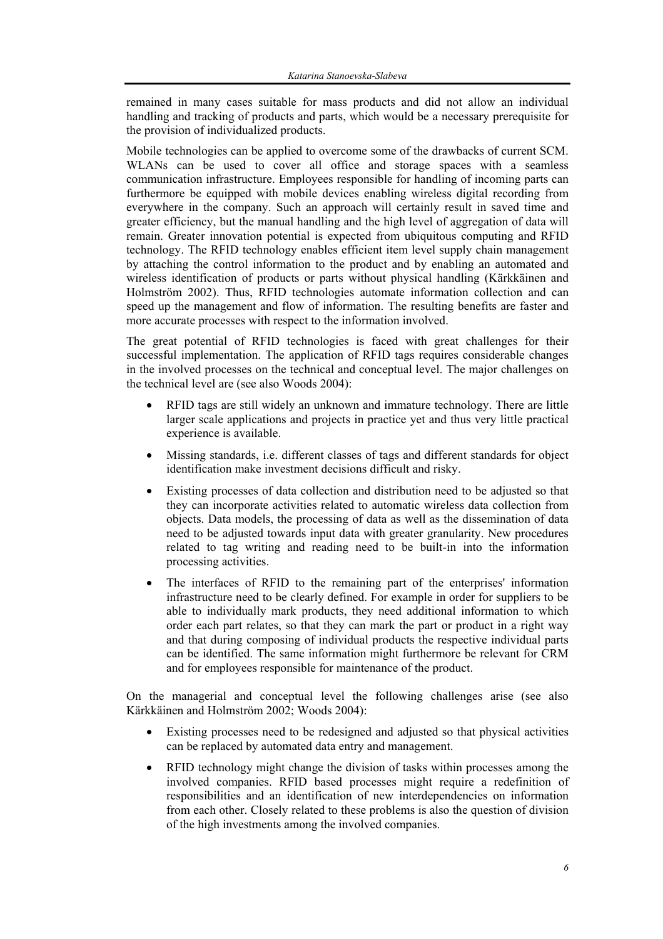remained in many cases suitable for mass products and did not allow an individual handling and tracking of products and parts, which would be a necessary prerequisite for the provision of individualized products.

Mobile technologies can be applied to overcome some of the drawbacks of current SCM. WLANs can be used to cover all office and storage spaces with a seamless communication infrastructure. Employees responsible for handling of incoming parts can furthermore be equipped with mobile devices enabling wireless digital recording from everywhere in the company. Such an approach will certainly result in saved time and greater efficiency, but the manual handling and the high level of aggregation of data will remain. Greater innovation potential is expected from ubiquitous computing and RFID technology. The RFID technology enables efficient item level supply chain management by attaching the control information to the product and by enabling an automated and wireless identification of products or parts without physical handling (Kärkkäinen and Holmström 2002). Thus, RFID technologies automate information collection and can speed up the management and flow of information. The resulting benefits are faster and more accurate processes with respect to the information involved.

The great potential of RFID technologies is faced with great challenges for their successful implementation. The application of RFID tags requires considerable changes in the involved processes on the technical and conceptual level. The major challenges on the technical level are (see also Woods 2004):

- RFID tags are still widely an unknown and immature technology. There are little larger scale applications and projects in practice yet and thus very little practical experience is available.
- Missing standards, i.e. different classes of tags and different standards for object identification make investment decisions difficult and risky.
- Existing processes of data collection and distribution need to be adjusted so that they can incorporate activities related to automatic wireless data collection from objects. Data models, the processing of data as well as the dissemination of data need to be adjusted towards input data with greater granularity. New procedures related to tag writing and reading need to be built-in into the information processing activities.
- The interfaces of RFID to the remaining part of the enterprises' information infrastructure need to be clearly defined. For example in order for suppliers to be able to individually mark products, they need additional information to which order each part relates, so that they can mark the part or product in a right way and that during composing of individual products the respective individual parts can be identified. The same information might furthermore be relevant for CRM and for employees responsible for maintenance of the product.

On the managerial and conceptual level the following challenges arise (see also Kärkkäinen and Holmström 2002; Woods 2004):

- Existing processes need to be redesigned and adjusted so that physical activities can be replaced by automated data entry and management.
- RFID technology might change the division of tasks within processes among the involved companies. RFID based processes might require a redefinition of responsibilities and an identification of new interdependencies on information from each other. Closely related to these problems is also the question of division of the high investments among the involved companies.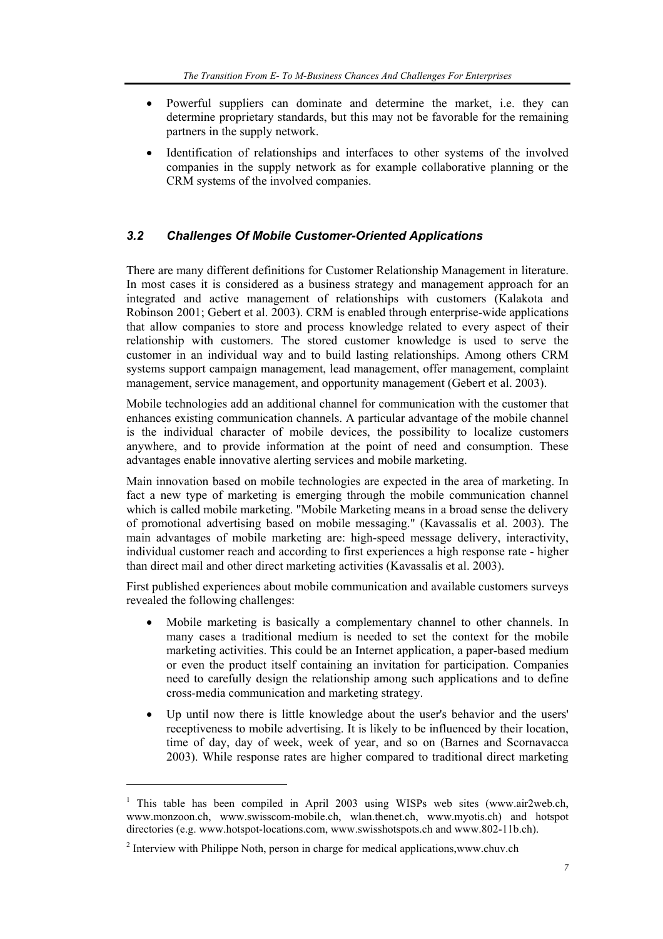- Powerful suppliers can dominate and determine the market, i.e. they can determine proprietary standards, but this may not be favorable for the remaining partners in the supply network.
- Identification of relationships and interfaces to other systems of the involved companies in the supply network as for example collaborative planning or the CRM systems of the involved companies.

#### *3.2 Challenges Of Mobile Customer-Oriented Applications*

There are many different definitions for Customer Relationship Management in literature. In most cases it is considered as a business strategy and management approach for an integrated and active management of relationships with customers (Kalakota and Robinson 2001; Gebert et al. 2003). CRM is enabled through enterprise-wide applications that allow companies to store and process knowledge related to every aspect of their relationship with customers. The stored customer knowledge is used to serve the customer in an individual way and to build lasting relationships. Among others CRM systems support campaign management, lead management, offer management, complaint management, service management, and opportunity management (Gebert et al. 2003).

Mobile technologies add an additional channel for communication with the customer that enhances existing communication channels. A particular advantage of the mobile channel is the individual character of mobile devices, the possibility to localize customers anywhere, and to provide information at the point of need and consumption. These advantages enable innovative alerting services and mobile marketing.

Main innovation based on mobile technologies are expected in the area of marketing. In fact a new type of marketing is emerging through the mobile communication channel which is called mobile marketing. "Mobile Marketing means in a broad sense the delivery of promotional advertising based on mobile messaging." (Kavassalis et al. 2003). The main advantages of mobile marketing are: high-speed message delivery, interactivity, individual customer reach and according to first experiences a high response rate - higher than direct mail and other direct marketing activities (Kavassalis et al. 2003).

First published experiences about mobile communication and available customers surveys revealed the following challenges:

- Mobile marketing is basically a complementary channel to other channels. In many cases a traditional medium is needed to set the context for the mobile marketing activities. This could be an Internet application, a paper-based medium or even the product itself containing an invitation for participation. Companies need to carefully design the relationship among such applications and to define cross-media communication and marketing strategy.
- Up until now there is little knowledge about the user's behavior and the users' receptiveness to mobile advertising. It is likely to be influenced by their location, time of day, day of week, week of year, and so on (Barnes and Scornavacca 2003). While response rates are higher compared to traditional direct marketing

l

<sup>&</sup>lt;sup>1</sup> This table has been compiled in April 2003 using WISPs web sites (www.air2web.ch, www.monzoon.ch, www.swisscom-mobile.ch, wlan.thenet.ch, www.myotis.ch) and hotspot directories (e.g. www.hotspot-locations.com, www.swisshotspots.ch and www.802-11b.ch).

 $2$  Interview with Philippe Noth, person in charge for medical applications, www.chuv.ch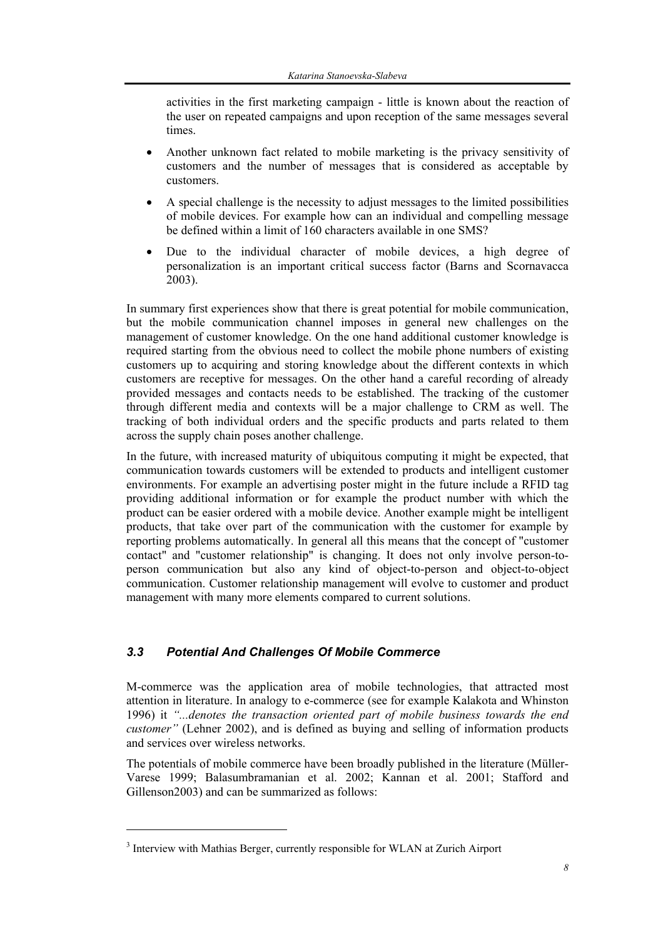activities in the first marketing campaign - little is known about the reaction of the user on repeated campaigns and upon reception of the same messages several times.

- Another unknown fact related to mobile marketing is the privacy sensitivity of customers and the number of messages that is considered as acceptable by customers.
- A special challenge is the necessity to adjust messages to the limited possibilities of mobile devices. For example how can an individual and compelling message be defined within a limit of 160 characters available in one SMS?
- Due to the individual character of mobile devices, a high degree of personalization is an important critical success factor (Barns and Scornavacca 2003).

In summary first experiences show that there is great potential for mobile communication, but the mobile communication channel imposes in general new challenges on the management of customer knowledge. On the one hand additional customer knowledge is required starting from the obvious need to collect the mobile phone numbers of existing customers up to acquiring and storing knowledge about the different contexts in which customers are receptive for messages. On the other hand a careful recording of already provided messages and contacts needs to be established. The tracking of the customer through different media and contexts will be a major challenge to CRM as well. The tracking of both individual orders and the specific products and parts related to them across the supply chain poses another challenge.

In the future, with increased maturity of ubiquitous computing it might be expected, that communication towards customers will be extended to products and intelligent customer environments. For example an advertising poster might in the future include a RFID tag providing additional information or for example the product number with which the product can be easier ordered with a mobile device. Another example might be intelligent products, that take over part of the communication with the customer for example by reporting problems automatically. In general all this means that the concept of "customer contact" and "customer relationship" is changing. It does not only involve person-toperson communication but also any kind of object-to-person and object-to-object communication. Customer relationship management will evolve to customer and product management with many more elements compared to current solutions.

## *3.3 Potential And Challenges Of Mobile Commerce*

M-commerce was the application area of mobile technologies, that attracted most attention in literature. In analogy to e-commerce (see for example Kalakota and Whinston 1996) it *"...denotes the transaction oriented part of mobile business towards the end customer"* (Lehner 2002), and is defined as buying and selling of information products and services over wireless networks.

The potentials of mobile commerce have been broadly published in the literature (Müller-Varese 1999; Balasumbramanian et al. 2002; Kannan et al. 2001; Stafford and Gillenson2003) and can be summarized as follows:

l

<sup>&</sup>lt;sup>3</sup> Interview with Mathias Berger, currently responsible for WLAN at Zurich Airport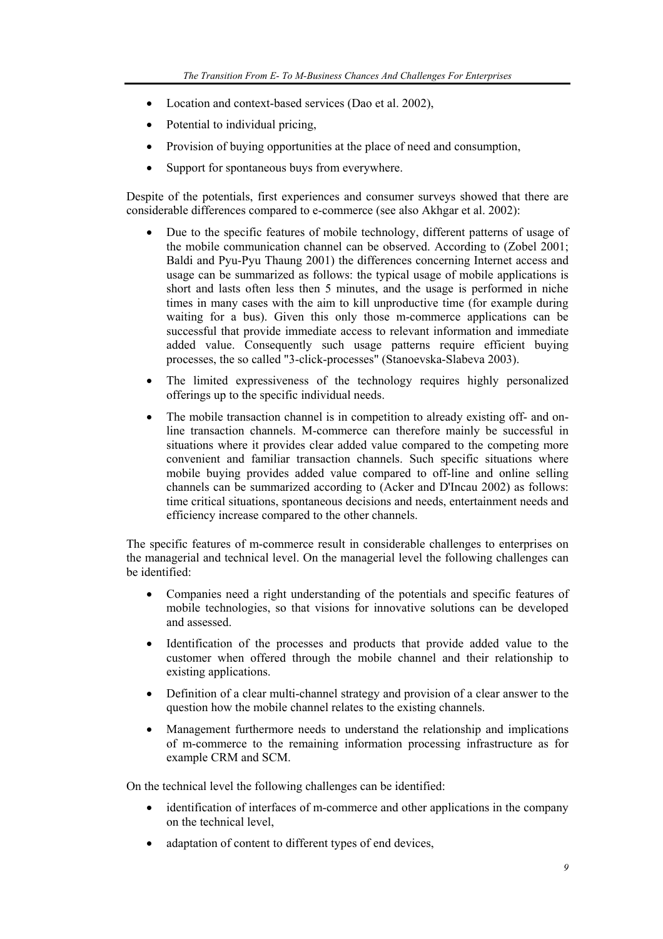- Location and context-based services (Dao et al. 2002),
- Potential to individual pricing,
- Provision of buying opportunities at the place of need and consumption,
- Support for spontaneous buys from everywhere.

Despite of the potentials, first experiences and consumer surveys showed that there are considerable differences compared to e-commerce (see also Akhgar et al. 2002):

- Due to the specific features of mobile technology, different patterns of usage of the mobile communication channel can be observed. According to (Zobel 2001; Baldi and Pyu-Pyu Thaung 2001) the differences concerning Internet access and usage can be summarized as follows: the typical usage of mobile applications is short and lasts often less then 5 minutes, and the usage is performed in niche times in many cases with the aim to kill unproductive time (for example during waiting for a bus). Given this only those m-commerce applications can be successful that provide immediate access to relevant information and immediate added value. Consequently such usage patterns require efficient buying processes, the so called "3-click-processes" (Stanoevska-Slabeva 2003).
- The limited expressiveness of the technology requires highly personalized offerings up to the specific individual needs.
- The mobile transaction channel is in competition to already existing off- and online transaction channels. M-commerce can therefore mainly be successful in situations where it provides clear added value compared to the competing more convenient and familiar transaction channels. Such specific situations where mobile buying provides added value compared to off-line and online selling channels can be summarized according to (Acker and D'Incau 2002) as follows: time critical situations, spontaneous decisions and needs, entertainment needs and efficiency increase compared to the other channels.

The specific features of m-commerce result in considerable challenges to enterprises on the managerial and technical level. On the managerial level the following challenges can be identified:

- Companies need a right understanding of the potentials and specific features of mobile technologies, so that visions for innovative solutions can be developed and assessed.
- Identification of the processes and products that provide added value to the customer when offered through the mobile channel and their relationship to existing applications.
- Definition of a clear multi-channel strategy and provision of a clear answer to the question how the mobile channel relates to the existing channels.
- Management furthermore needs to understand the relationship and implications of m-commerce to the remaining information processing infrastructure as for example CRM and SCM.

On the technical level the following challenges can be identified:

- identification of interfaces of m-commerce and other applications in the company on the technical level,
- adaptation of content to different types of end devices,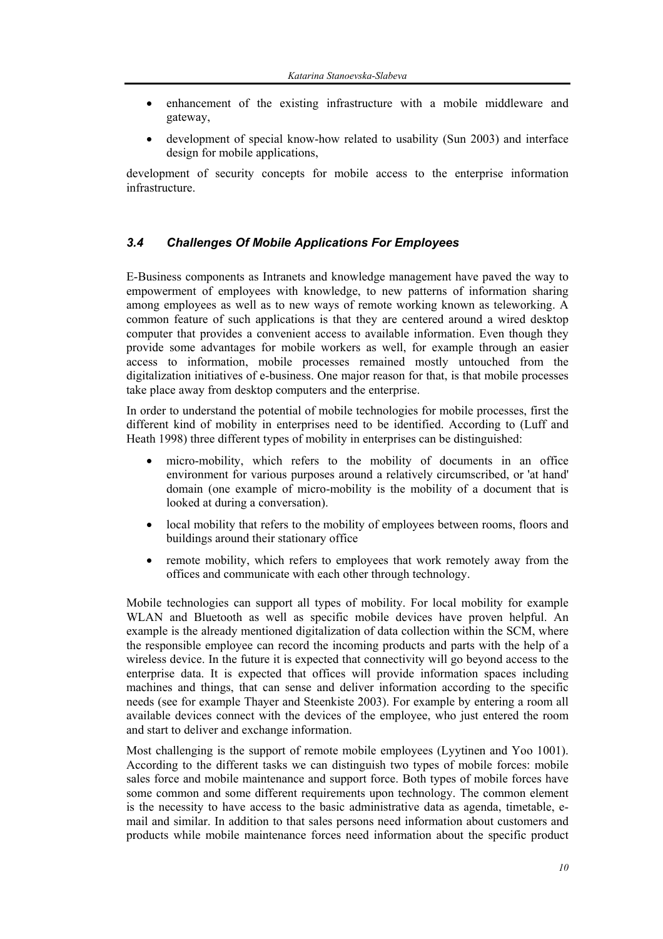- enhancement of the existing infrastructure with a mobile middleware and gateway,
- development of special know-how related to usability (Sun 2003) and interface design for mobile applications,

development of security concepts for mobile access to the enterprise information infrastructure.

#### *3.4 Challenges Of Mobile Applications For Employees*

E-Business components as Intranets and knowledge management have paved the way to empowerment of employees with knowledge, to new patterns of information sharing among employees as well as to new ways of remote working known as teleworking. A common feature of such applications is that they are centered around a wired desktop computer that provides a convenient access to available information. Even though they provide some advantages for mobile workers as well, for example through an easier access to information, mobile processes remained mostly untouched from the digitalization initiatives of e-business. One major reason for that, is that mobile processes take place away from desktop computers and the enterprise.

In order to understand the potential of mobile technologies for mobile processes, first the different kind of mobility in enterprises need to be identified. According to (Luff and Heath 1998) three different types of mobility in enterprises can be distinguished:

- micro-mobility, which refers to the mobility of documents in an office environment for various purposes around a relatively circumscribed, or 'at hand' domain (one example of micro-mobility is the mobility of a document that is looked at during a conversation).
- local mobility that refers to the mobility of employees between rooms, floors and buildings around their stationary office
- remote mobility, which refers to employees that work remotely away from the offices and communicate with each other through technology.

Mobile technologies can support all types of mobility. For local mobility for example WLAN and Bluetooth as well as specific mobile devices have proven helpful. An example is the already mentioned digitalization of data collection within the SCM, where the responsible employee can record the incoming products and parts with the help of a wireless device. In the future it is expected that connectivity will go beyond access to the enterprise data. It is expected that offices will provide information spaces including machines and things, that can sense and deliver information according to the specific needs (see for example Thayer and Steenkiste 2003). For example by entering a room all available devices connect with the devices of the employee, who just entered the room and start to deliver and exchange information.

Most challenging is the support of remote mobile employees (Lyytinen and Yoo 1001). According to the different tasks we can distinguish two types of mobile forces: mobile sales force and mobile maintenance and support force. Both types of mobile forces have some common and some different requirements upon technology. The common element is the necessity to have access to the basic administrative data as agenda, timetable, email and similar. In addition to that sales persons need information about customers and products while mobile maintenance forces need information about the specific product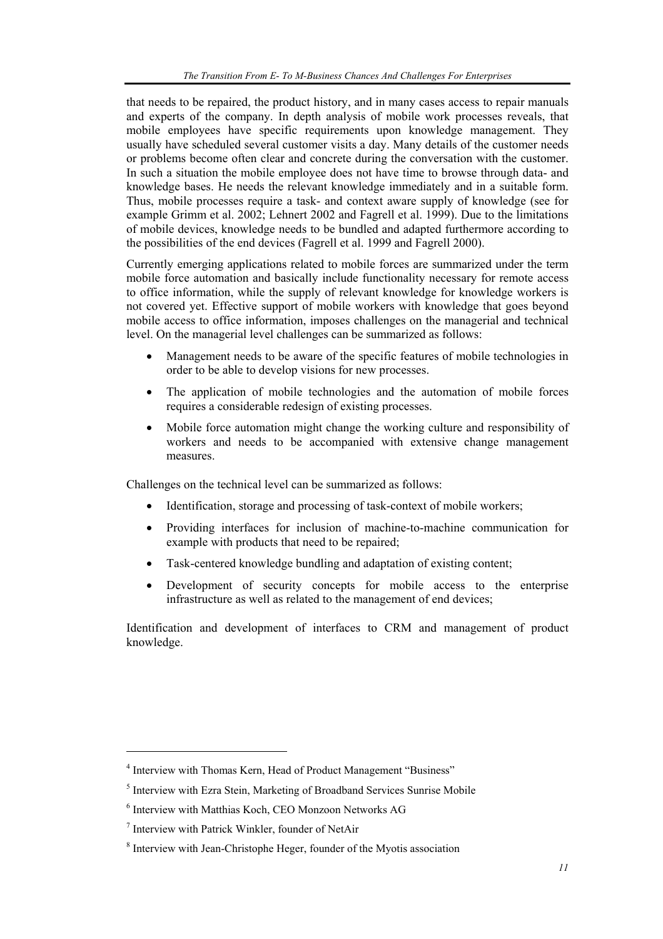that needs to be repaired, the product history, and in many cases access to repair manuals and experts of the company. In depth analysis of mobile work processes reveals, that mobile employees have specific requirements upon knowledge management. They usually have scheduled several customer visits a day. Many details of the customer needs or problems become often clear and concrete during the conversation with the customer. In such a situation the mobile employee does not have time to browse through data- and knowledge bases. He needs the relevant knowledge immediately and in a suitable form. Thus, mobile processes require a task- and context aware supply of knowledge (see for example Grimm et al. 2002; Lehnert 2002 and Fagrell et al. 1999). Due to the limitations of mobile devices, knowledge needs to be bundled and adapted furthermore according to the possibilities of the end devices (Fagrell et al. 1999 and Fagrell 2000).

Currently emerging applications related to mobile forces are summarized under the term mobile force automation and basically include functionality necessary for remote access to office information, while the supply of relevant knowledge for knowledge workers is not covered yet. Effective support of mobile workers with knowledge that goes beyond mobile access to office information, imposes challenges on the managerial and technical level. On the managerial level challenges can be summarized as follows:

- Management needs to be aware of the specific features of mobile technologies in order to be able to develop visions for new processes.
- The application of mobile technologies and the automation of mobile forces requires a considerable redesign of existing processes.
- Mobile force automation might change the working culture and responsibility of workers and needs to be accompanied with extensive change management measures.

Challenges on the technical level can be summarized as follows:

- Identification, storage and processing of task-context of mobile workers;
- Providing interfaces for inclusion of machine-to-machine communication for example with products that need to be repaired;
- Task-centered knowledge bundling and adaptation of existing content;
- Development of security concepts for mobile access to the enterprise infrastructure as well as related to the management of end devices;

Identification and development of interfaces to CRM and management of product knowledge.

l

<sup>&</sup>lt;sup>4</sup> Interview with Thomas Kern, Head of Product Management "Business"

<sup>&</sup>lt;sup>5</sup> Interview with Ezra Stein, Marketing of Broadband Services Sunrise Mobile

<sup>6</sup> Interview with Matthias Koch, CEO Monzoon Networks AG

<sup>7</sup> Interview with Patrick Winkler, founder of NetAir

<sup>&</sup>lt;sup>8</sup> Interview with Jean-Christophe Heger, founder of the Myotis association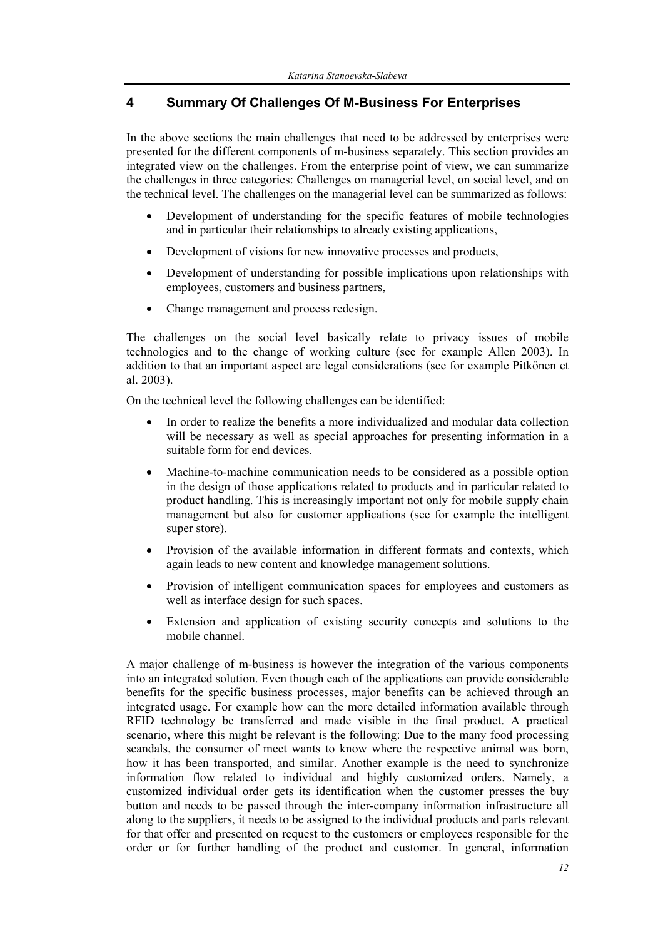## **4 Summary Of Challenges Of M-Business For Enterprises**

In the above sections the main challenges that need to be addressed by enterprises were presented for the different components of m-business separately. This section provides an integrated view on the challenges. From the enterprise point of view, we can summarize the challenges in three categories: Challenges on managerial level, on social level, and on the technical level. The challenges on the managerial level can be summarized as follows:

- Development of understanding for the specific features of mobile technologies and in particular their relationships to already existing applications,
- Development of visions for new innovative processes and products,
- Development of understanding for possible implications upon relationships with employees, customers and business partners,
- Change management and process redesign.

The challenges on the social level basically relate to privacy issues of mobile technologies and to the change of working culture (see for example Allen 2003). In addition to that an important aspect are legal considerations (see for example Pitkönen et al. 2003).

On the technical level the following challenges can be identified:

- In order to realize the benefits a more individualized and modular data collection will be necessary as well as special approaches for presenting information in a suitable form for end devices.
- Machine-to-machine communication needs to be considered as a possible option in the design of those applications related to products and in particular related to product handling. This is increasingly important not only for mobile supply chain management but also for customer applications (see for example the intelligent super store).
- Provision of the available information in different formats and contexts, which again leads to new content and knowledge management solutions.
- Provision of intelligent communication spaces for employees and customers as well as interface design for such spaces.
- Extension and application of existing security concepts and solutions to the mobile channel.

A major challenge of m-business is however the integration of the various components into an integrated solution. Even though each of the applications can provide considerable benefits for the specific business processes, major benefits can be achieved through an integrated usage. For example how can the more detailed information available through RFID technology be transferred and made visible in the final product. A practical scenario, where this might be relevant is the following: Due to the many food processing scandals, the consumer of meet wants to know where the respective animal was born, how it has been transported, and similar. Another example is the need to synchronize information flow related to individual and highly customized orders. Namely, a customized individual order gets its identification when the customer presses the buy button and needs to be passed through the inter-company information infrastructure all along to the suppliers, it needs to be assigned to the individual products and parts relevant for that offer and presented on request to the customers or employees responsible for the order or for further handling of the product and customer. In general, information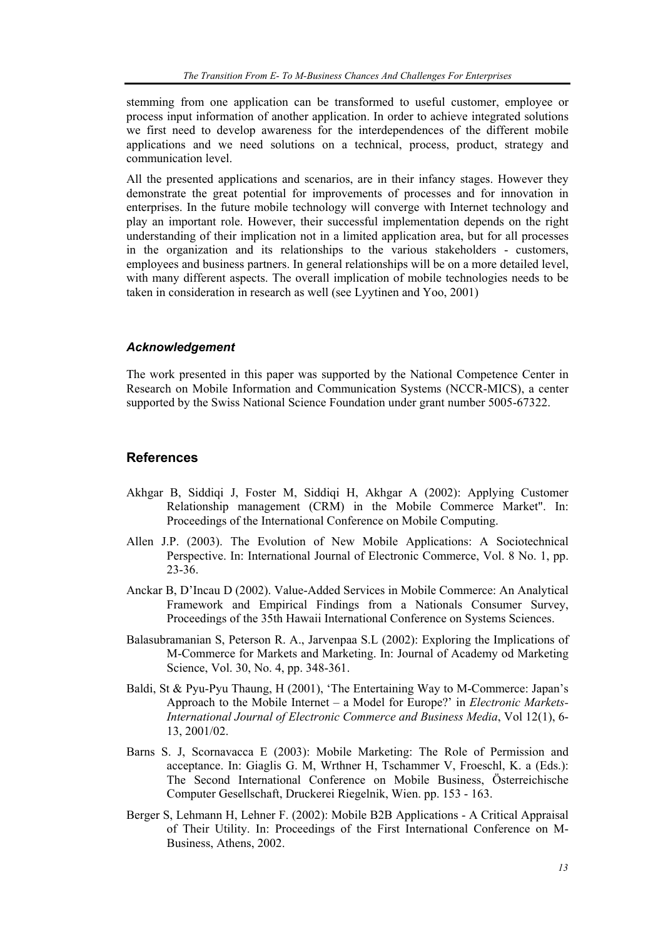stemming from one application can be transformed to useful customer, employee or process input information of another application. In order to achieve integrated solutions we first need to develop awareness for the interdependences of the different mobile applications and we need solutions on a technical, process, product, strategy and communication level.

All the presented applications and scenarios, are in their infancy stages. However they demonstrate the great potential for improvements of processes and for innovation in enterprises. In the future mobile technology will converge with Internet technology and play an important role. However, their successful implementation depends on the right understanding of their implication not in a limited application area, but for all processes in the organization and its relationships to the various stakeholders - customers, employees and business partners. In general relationships will be on a more detailed level, with many different aspects. The overall implication of mobile technologies needs to be taken in consideration in research as well (see Lyytinen and Yoo, 2001)

#### *Acknowledgement*

The work presented in this paper was supported by the National Competence Center in Research on Mobile Information and Communication Systems (NCCR-MICS), a center supported by the Swiss National Science Foundation under grant number 5005-67322.

#### **References**

- Akhgar B, Siddiqi J, Foster M, Siddiqi H, Akhgar A (2002): Applying Customer Relationship management (CRM) in the Mobile Commerce Market". In: Proceedings of the International Conference on Mobile Computing.
- Allen J.P. (2003). The Evolution of New Mobile Applications: A Sociotechnical Perspective. In: International Journal of Electronic Commerce, Vol. 8 No. 1, pp. 23-36.
- Anckar B, D'Incau D (2002). Value-Added Services in Mobile Commerce: An Analytical Framework and Empirical Findings from a Nationals Consumer Survey, Proceedings of the 35th Hawaii International Conference on Systems Sciences.
- Balasubramanian S, Peterson R. A., Jarvenpaa S.L (2002): Exploring the Implications of M-Commerce for Markets and Marketing. In: Journal of Academy od Marketing Science, Vol. 30, No. 4, pp. 348-361.
- Baldi, St & Pyu-Pyu Thaung, H (2001), 'The Entertaining Way to M-Commerce: Japan's Approach to the Mobile Internet – a Model for Europe?' in *Electronic Markets-International Journal of Electronic Commerce and Business Media*, Vol 12(1), 6- 13, 2001/02.
- Barns S. J, Scornavacca E (2003): Mobile Marketing: The Role of Permission and acceptance. In: Giaglis G. M, Wrthner H, Tschammer V, Froeschl, K. a (Eds.): The Second International Conference on Mobile Business, Österreichische Computer Gesellschaft, Druckerei Riegelnik, Wien. pp. 153 - 163.
- Berger S, Lehmann H, Lehner F. (2002): Mobile B2B Applications A Critical Appraisal of Their Utility. In: Proceedings of the First International Conference on M-Business, Athens, 2002.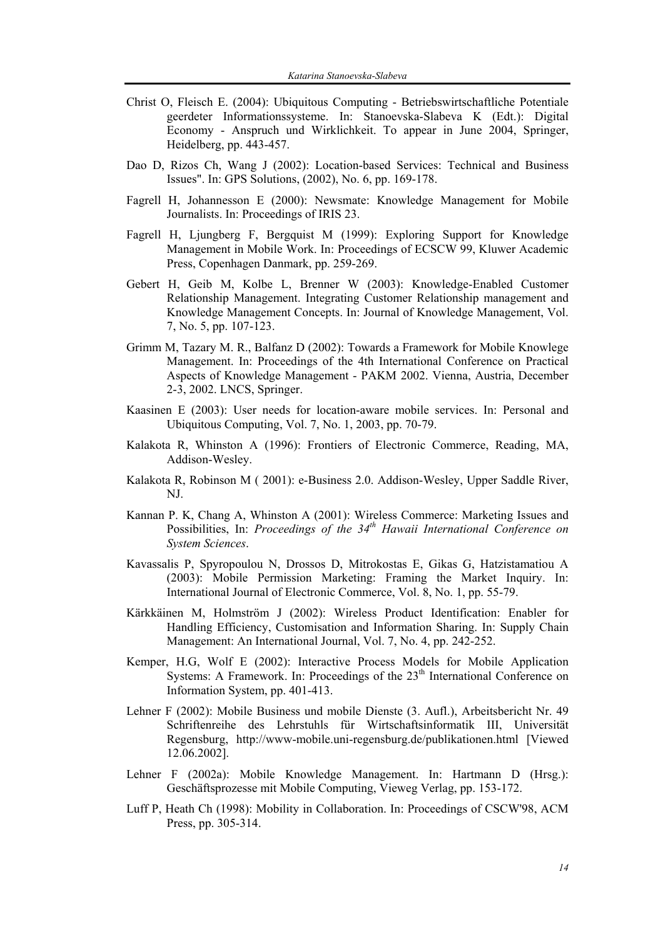- Christ O, Fleisch E. (2004): Ubiquitous Computing Betriebswirtschaftliche Potentiale geerdeter Informationssysteme. In: Stanoevska-Slabeva K (Edt.): Digital Economy - Anspruch und Wirklichkeit. To appear in June 2004, Springer, Heidelberg, pp. 443-457.
- Dao D, Rizos Ch, Wang J (2002): Location-based Services: Technical and Business Issues". In: GPS Solutions, (2002), No. 6, pp. 169-178.
- Fagrell H, Johannesson E (2000): Newsmate: Knowledge Management for Mobile Journalists. In: Proceedings of IRIS 23.
- Fagrell H, Ljungberg F, Bergquist M (1999): Exploring Support for Knowledge Management in Mobile Work. In: Proceedings of ECSCW 99, Kluwer Academic Press, Copenhagen Danmark, pp. 259-269.
- Gebert H, Geib M, Kolbe L, Brenner W (2003): Knowledge-Enabled Customer Relationship Management. Integrating Customer Relationship management and Knowledge Management Concepts. In: Journal of Knowledge Management, Vol. 7, No. 5, pp. 107-123.
- Grimm M, Tazary M. R., Balfanz D (2002): Towards a Framework for Mobile Knowlege Management. In: Proceedings of the 4th International Conference on Practical Aspects of Knowledge Management - PAKM 2002. Vienna, Austria, December 2-3, 2002. LNCS, Springer.
- Kaasinen E (2003): User needs for location-aware mobile services. In: Personal and Ubiquitous Computing, Vol. 7, No. 1, 2003, pp. 70-79.
- Kalakota R, Whinston A (1996): Frontiers of Electronic Commerce, Reading, MA, Addison-Wesley.
- Kalakota R, Robinson M ( 2001): e-Business 2.0. Addison-Wesley, Upper Saddle River, NJ.
- Kannan P. K, Chang A, Whinston A (2001): Wireless Commerce: Marketing Issues and Possibilities, In: *Proceedings of the 34th Hawaii International Conference on System Sciences*.
- Kavassalis P, Spyropoulou N, Drossos D, Mitrokostas E, Gikas G, Hatzistamatiou A (2003): Mobile Permission Marketing: Framing the Market Inquiry. In: International Journal of Electronic Commerce, Vol. 8, No. 1, pp. 55-79.
- Kärkkäinen M, Holmström J (2002): Wireless Product Identification: Enabler for Handling Efficiency, Customisation and Information Sharing. In: Supply Chain Management: An International Journal, Vol. 7, No. 4, pp. 242-252.
- Kemper, H.G, Wolf E (2002): Interactive Process Models for Mobile Application Systems: A Framework. In: Proceedings of the  $23<sup>th</sup>$  International Conference on Information System, pp. 401-413.
- Lehner F (2002): Mobile Business und mobile Dienste (3. Aufl.), Arbeitsbericht Nr. 49 Schriftenreihe des Lehrstuhls für Wirtschaftsinformatik III, Universität Regensburg, http://www-mobile.uni-regensburg.de/publikationen.html [Viewed 12.06.2002].
- Lehner F (2002a): Mobile Knowledge Management. In: Hartmann D (Hrsg.): Geschäftsprozesse mit Mobile Computing, Vieweg Verlag, pp. 153-172.
- Luff P, Heath Ch (1998): Mobility in Collaboration. In: Proceedings of CSCW'98, ACM Press, pp. 305-314.